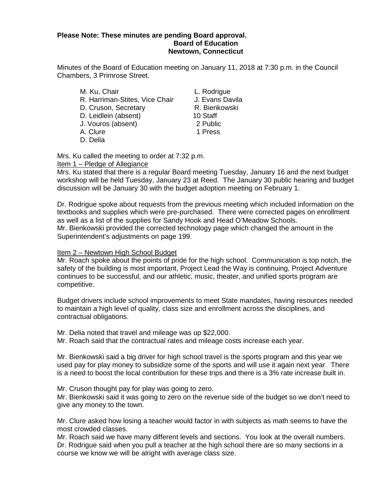#### **Please Note: These minutes are pending Board approval. Board of Education Newtown, Connecticut**

Minutes of the Board of Education meeting on January 11, 2018 at 7:30 p.m. in the Council Chambers, 3 Primrose Street.

M. Ku, Chair **L. Rodrigue** R. Harriman-Stites, Vice Chair J. Evans Davila D. Cruson, Secretary R. Bienkowski D. Leidlein (absent) 10 Staff<br>
J. Vouros (absent) 12 Public J. Vouros (absent) A. Clure 2008 1 Press D. Delia

Mrs. Ku called the meeting to order at 7:32 p.m.

Item 1 – Pledge of Allegiance

Mrs. Ku stated that there is a regular Board meeting Tuesday, January 16 and the next budget workshop will be held Tuesday, January 23 at Reed. The January 30 public hearing and budget discussion will be January 30 with the budget adoption meeting on February 1.

Dr. Rodrigue spoke about requests from the previous meeting which included information on the textbooks and supplies which were pre-purchased. There were corrected pages on enrollment as well as a list of the supplies for Sandy Hook and Head O'Meadow Schools. Mr. Bienkowski provided the corrected technology page which changed the amount in the Superintendent's adjustments on page 199.

# Item 2 – Newtown High School Budget

Mr. Roach spoke about the points of pride for the high school. Communication is top notch, the safety of the building is most important, Project Lead the Way is continuing, Project Adventure continues to be successful, and our athletic, music, theater, and unified sports program are competitive.

Budget drivers include school improvements to meet State mandates, having resources needed to maintain a high level of quality, class size and enrollment across the disciplines, and contractual obligations.

Mr. Delia noted that travel and mileage was up \$22,000.

Mr. Roach said that the contractual rates and mileage costs increase each year.

Mr. Bienkowski said a big driver for high school travel is the sports program and this year we used pay for play money to subsidize some of the sports and will use it again next year. There is a need to boost the local contribution for these trips and there is a 3% rate increase built in.

Mr. Cruson thought pay for play was going to zero.

Mr. Bienkowski said it was going to zero on the revenue side of the budget so we don't need to give any money to the town.

Mr. Clure asked how losing a teacher would factor in with subjects as math seems to have the most crowded classes.

Mr. Roach said we have many different levels and sections. You look at the overall numbers. Dr. Rodrigue said when you pull a teacher at the high school there are so many sections in a course we know we will be alright with average class size.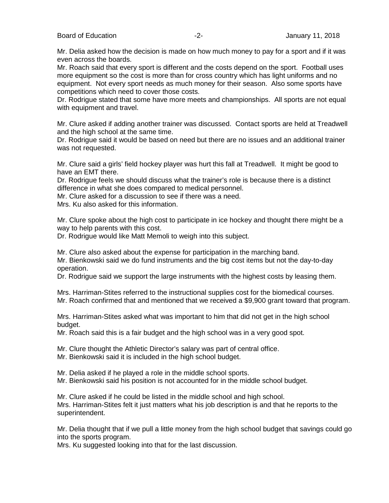Mr. Delia asked how the decision is made on how much money to pay for a sport and if it was even across the boards.

Mr. Roach said that every sport is different and the costs depend on the sport. Football uses more equipment so the cost is more than for cross country which has light uniforms and no equipment. Not every sport needs as much money for their season. Also some sports have competitions which need to cover those costs.

Dr. Rodrigue stated that some have more meets and championships. All sports are not equal with equipment and travel.

Mr. Clure asked if adding another trainer was discussed. Contact sports are held at Treadwell and the high school at the same time.

Dr. Rodrigue said it would be based on need but there are no issues and an additional trainer was not requested.

Mr. Clure said a girls' field hockey player was hurt this fall at Treadwell. It might be good to have an EMT there.

Dr. Rodrigue feels we should discuss what the trainer's role is because there is a distinct difference in what she does compared to medical personnel.

Mr. Clure asked for a discussion to see if there was a need.

Mrs. Ku also asked for this information.

Mr. Clure spoke about the high cost to participate in ice hockey and thought there might be a way to help parents with this cost.

Dr. Rodrigue would like Matt Memoli to weigh into this subject.

Mr. Clure also asked about the expense for participation in the marching band.

Mr. Bienkowski said we do fund instruments and the big cost items but not the day-to-day operation.

Dr. Rodrigue said we support the large instruments with the highest costs by leasing them.

Mrs. Harriman-Stites referred to the instructional supplies cost for the biomedical courses. Mr. Roach confirmed that and mentioned that we received a \$9,900 grant toward that program.

Mrs. Harriman-Stites asked what was important to him that did not get in the high school budget.

Mr. Roach said this is a fair budget and the high school was in a very good spot.

Mr. Clure thought the Athletic Director's salary was part of central office.

Mr. Bienkowski said it is included in the high school budget.

Mr. Delia asked if he played a role in the middle school sports.

Mr. Bienkowski said his position is not accounted for in the middle school budget.

Mr. Clure asked if he could be listed in the middle school and high school. Mrs. Harriman-Stites felt it just matters what his job description is and that he reports to the superintendent.

Mr. Delia thought that if we pull a little money from the high school budget that savings could go into the sports program.

Mrs. Ku suggested looking into that for the last discussion.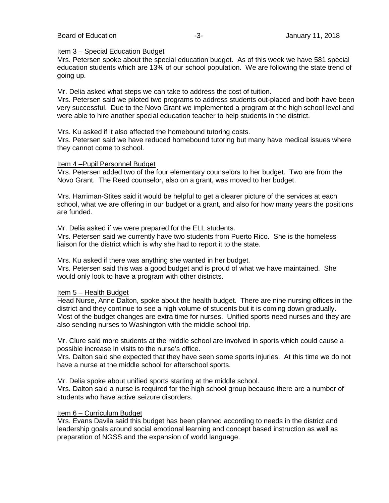## Board of Education **-3-** Figure 2018 **January 11, 2018**

### Item 3 – Special Education Budget

Mrs. Petersen spoke about the special education budget. As of this week we have 581 special education students which are 13% of our school population. We are following the state trend of going up.

Mr. Delia asked what steps we can take to address the cost of tuition.

Mrs. Petersen said we piloted two programs to address students out-placed and both have been very successful. Due to the Novo Grant we implemented a program at the high school level and were able to hire another special education teacher to help students in the district.

Mrs. Ku asked if it also affected the homebound tutoring costs.

Mrs. Petersen said we have reduced homebound tutoring but many have medical issues where they cannot come to school.

## Item 4 –Pupil Personnel Budget

Mrs. Petersen added two of the four elementary counselors to her budget. Two are from the Novo Grant. The Reed counselor, also on a grant, was moved to her budget.

Mrs. Harriman-Stites said it would be helpful to get a clearer picture of the services at each school, what we are offering in our budget or a grant, and also for how many years the positions are funded.

Mr. Delia asked if we were prepared for the ELL students. Mrs. Petersen said we currently have two students from Puerto Rico. She is the homeless liaison for the district which is why she had to report it to the state.

Mrs. Ku asked if there was anything she wanted in her budget. Mrs. Petersen said this was a good budget and is proud of what we have maintained. She would only look to have a program with other districts.

## Item 5 – Health Budget

Head Nurse, Anne Dalton, spoke about the health budget. There are nine nursing offices in the district and they continue to see a high volume of students but it is coming down gradually. Most of the budget changes are extra time for nurses. Unified sports need nurses and they are also sending nurses to Washington with the middle school trip.

Mr. Clure said more students at the middle school are involved in sports which could cause a possible increase in visits to the nurse's office.

Mrs. Dalton said she expected that they have seen some sports injuries. At this time we do not have a nurse at the middle school for afterschool sports.

Mr. Delia spoke about unified sports starting at the middle school.

Mrs. Dalton said a nurse is required for the high school group because there are a number of students who have active seizure disorders.

## Item 6 – Curriculum Budget

Mrs. Evans Davila said this budget has been planned according to needs in the district and leadership goals around social emotional learning and concept based instruction as well as preparation of NGSS and the expansion of world language.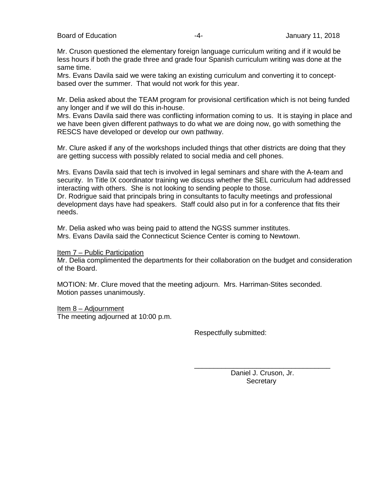Board of Education **Francisco Community** 11, 2018 **-4-** January 11, 2018

Mr. Cruson questioned the elementary foreign language curriculum writing and if it would be less hours if both the grade three and grade four Spanish curriculum writing was done at the same time.

Mrs. Evans Davila said we were taking an existing curriculum and converting it to conceptbased over the summer. That would not work for this year.

Mr. Delia asked about the TEAM program for provisional certification which is not being funded any longer and if we will do this in-house.

Mrs. Evans Davila said there was conflicting information coming to us. It is staying in place and we have been given different pathways to do what we are doing now, go with something the RESCS have developed or develop our own pathway.

Mr. Clure asked if any of the workshops included things that other districts are doing that they are getting success with possibly related to social media and cell phones.

Mrs. Evans Davila said that tech is involved in legal seminars and share with the A-team and security. In Title IX coordinator training we discuss whether the SEL curriculum had addressed interacting with others. She is not looking to sending people to those.

Dr. Rodrigue said that principals bring in consultants to faculty meetings and professional development days have had speakers. Staff could also put in for a conference that fits their needs.

Mr. Delia asked who was being paid to attend the NGSS summer institutes. Mrs. Evans Davila said the Connecticut Science Center is coming to Newtown.

Item 7 – Public Participation

Mr. Delia complimented the departments for their collaboration on the budget and consideration of the Board.

MOTION: Mr. Clure moved that the meeting adjourn. Mrs. Harriman-Stites seconded. Motion passes unanimously.

Item 8 – Adjournment The meeting adjourned at 10:00 p.m.

Respectfully submitted:

\_\_\_\_\_\_\_\_\_\_\_\_\_\_\_\_\_\_\_\_\_\_\_\_\_\_\_\_\_\_\_\_\_\_\_ Daniel J. Cruson, Jr. **Secretary**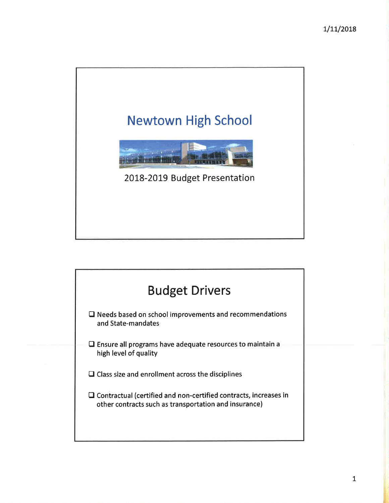# **Newtown High School** 2018-2019 Budget Presentation

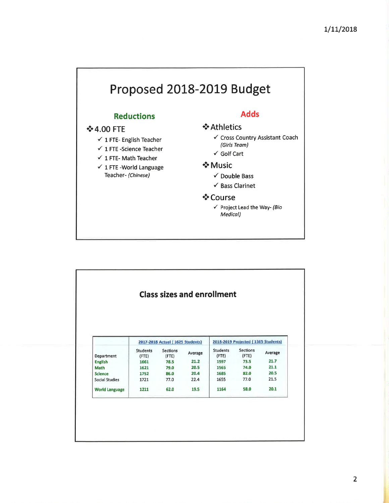# Proposed 2018-2019 Budget

# **Reductions**

# **❖ 4.00 FTE**

- $\checkmark$  1 FTE-English Teacher
- $\checkmark$  1 FTE -Science Teacher
- $\checkmark$  1 FTE- Math Teacher
- $\checkmark$  1 FTE -World Language Teacher- (Chinese)

# **Adds**

# ❖ Athletics

- ✓ Cross Country Assistant Coach (Girls Team)
- $\checkmark$  Golf Cart

# ❖ Music

- $\checkmark$  Double Bass
- $\checkmark$  Bass Clarinet

## ❖ Course

√ Project Lead the Way- (Bio Medical)

| <b>Class sizes and enrollment</b> |                 |                                  |         |                 |                                     |         |
|-----------------------------------|-----------------|----------------------------------|---------|-----------------|-------------------------------------|---------|
|                                   |                 |                                  |         |                 |                                     |         |
|                                   |                 |                                  |         |                 |                                     |         |
|                                   |                 |                                  |         |                 |                                     |         |
|                                   |                 |                                  |         |                 |                                     |         |
|                                   |                 |                                  |         |                 | 2018-2019 Projected (1565 Students) |         |
|                                   |                 | 2017-2018 Actual (1625 Students) |         |                 |                                     |         |
|                                   | <b>Students</b> | <b>Sections</b>                  | Average | <b>Students</b> | <b>Sections</b>                     | Average |
| Department                        | (FTE)           | (FTE)                            |         | $($ FTE $)$     | (FTE)                               |         |
| <b>English</b>                    | 1661            | 78.5                             | 21.2    | 1597            | 73.5                                | 21.7    |
| <b>Math</b>                       | 1621            | 79.0                             | 20.5    | 1565            | 74.0                                | 21.1    |
|                                   | 1752            | 86.0                             | 20.4    | 1685            | 82.0                                | 20.5    |
| <b>Science</b>                    | 1721            | 77.0                             | 22.4    | 1655            | 77.0                                | 21.5    |
| <b>Social Studies</b>             |                 |                                  |         | 1164            | 58.0                                | 20.1    |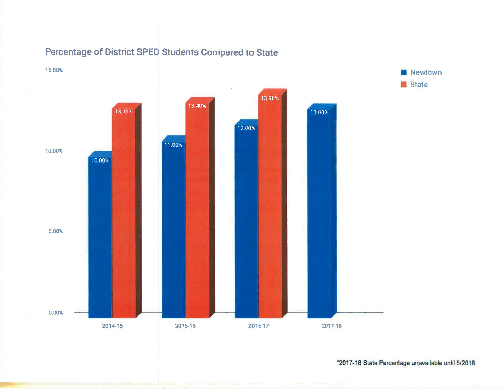

# Percentage of District SPED Students Compared to State

\*2017-18 State Percentage unavailable until 5/2018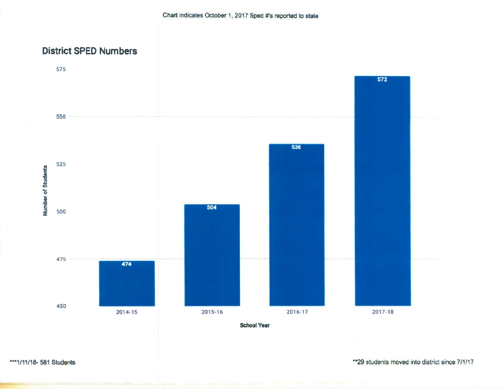# **District SPED Numbers**



\*\*\* 1/11/18-581 Students

\*\* 29 students moved into district since 7/1/17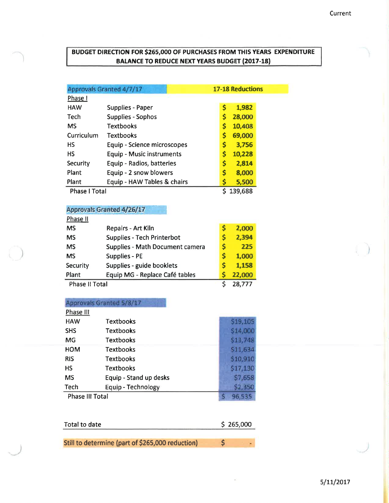# BUDGET DIRECTION FOR \$265,000 OF PURCHASES FROM THIS YEARS EXPENDITURE **BALANCE TO REDUCE NEXT YEARS BUDGET (2017-18)**

|                      | <b>17-18 Reductions</b><br>Approvals Granted 4/7/17 |    |         |
|----------------------|-----------------------------------------------------|----|---------|
| Phase I              |                                                     |    |         |
| <b>HAW</b>           | <b>Supplies - Paper</b>                             | \$ | 1,982   |
| Tech                 | Supplies - Sophos                                   | \$ | 28,000  |
| <b>MS</b>            | <b>Textbooks</b>                                    | \$ | 10,408  |
| Curriculum           | <b>Textbooks</b>                                    | \$ | 69,000  |
| НS                   | Equip - Science microscopes                         | \$ | 3,756   |
| HS                   | <b>Equip - Music instruments</b>                    | \$ | 10,228  |
| Security             | Equip - Radios, batteries                           | \$ | 2,814   |
| Plant                | Equip - 2 snow blowers                              | \$ | 8,000   |
| Plant                | Equip - HAW Tables & chairs                         | \$ | 5,500   |
| <b>Phase I Total</b> |                                                     |    | 139,688 |

# **Approvals Granted 4/26/17**

| Phase II              |                                        |   |        |
|-----------------------|----------------------------------------|---|--------|
| <b>MS</b>             | Repairs - Art Kiln                     |   | 2,000  |
| <b>MS</b>             | <b>Supplies - Tech Printerbot</b>      | S | 2,394  |
| <b>MS</b>             | <b>Supplies - Math Document camera</b> | S | 225    |
| <b>MS</b>             | <b>Supplies - PE</b>                   | S | 1,000  |
| Security              | Supplies - guide booklets              | S | 1,158  |
| Plant                 | Equip MG - Replace Café tables         |   | 22,000 |
| <b>Phase II Total</b> |                                        |   | 28,777 |

# Approvals Granted 5/8/17

| Phase III              |                        |          |
|------------------------|------------------------|----------|
| <b>HAW</b>             | <b>Textbooks</b>       | \$19,105 |
| <b>SHS</b>             | <b>Textbooks</b>       | \$14,000 |
| <b>MG</b>              | Textbooks              | \$13,748 |
| <b>HOM</b>             | <b>Textbooks</b>       | \$11,634 |
| <b>RIS</b>             | <b>Textbooks</b>       | \$10,910 |
| нs                     | Textbooks              | \$17,130 |
| <b>MS</b>              | Equip - Stand up desks | \$7,658  |
| Tech                   | Equip - Technology     | \$2,350  |
| <b>Phase III Total</b> |                        | 96.535   |

| Total to date                                    | \$265,000 |
|--------------------------------------------------|-----------|
|                                                  |           |
| Still to determine (part of \$265,000 reduction) |           |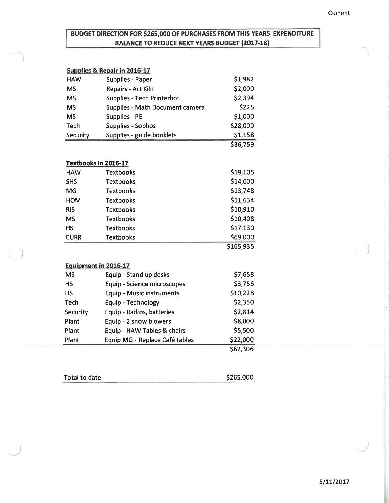# BUDGET DIRECTION FOR \$265,000 OF PURCHASES FROM THIS YEARS EXPENDITURE **BALANCE TO REDUCE NEXT YEARS BUDGET (2017-18)**

|            | Supplies & Repair in 2016-17           |          |
|------------|----------------------------------------|----------|
| <b>HAW</b> | <b>Supplies - Paper</b>                | \$1,982  |
| <b>MS</b>  | <b>Repairs - Art Kiln</b>              | \$2,000  |
| <b>MS</b>  | <b>Supplies - Tech Printerbot</b>      | \$2,394  |
| <b>MS</b>  | <b>Supplies - Math Document camera</b> | \$225    |
| <b>MS</b>  | <b>Supplies - PE</b>                   | \$1,000  |
| Tech       | <b>Supplies - Sophos</b>               | \$28,000 |
| Security   | Supplies - guide booklets              | \$1,158  |
|            |                                        | \$36.759 |

#### Textbooks in 2016-17

| <b>HAW</b>  | <b>Textbooks</b> | \$19,105  |
|-------------|------------------|-----------|
| <b>SHS</b>  | <b>Textbooks</b> | \$14,000  |
| MG          | <b>Textbooks</b> | \$13,748  |
| <b>HOM</b>  | <b>Textbooks</b> | \$11,634  |
| <b>RIS</b>  | <b>Textbooks</b> | \$10,910  |
| <b>MS</b>   | <b>Textbooks</b> | \$10,408  |
| <b>HS</b>   | <b>Textbooks</b> | \$17,130  |
| <b>CURR</b> | <b>Textbooks</b> | \$69,000  |
|             |                  | \$165,935 |

#### Equipment in 2016-17

| <b>MS</b> | Equip - Stand up desks             | \$7,658  |
|-----------|------------------------------------|----------|
| <b>HS</b> | <b>Equip - Science microscopes</b> | \$3,756  |
| <b>HS</b> | <b>Equip - Music instruments</b>   | \$10,228 |
| Tech      | Equip - Technology                 | \$2,350  |
| Security  | Equip - Radios, batteries          | \$2,814  |
| Plant     | Equip - 2 snow blowers             | \$8,000  |
| Plant     | Equip - HAW Tables & chairs        | \$5,500  |
| Plant     | Equip MG - Replace Café tables     | \$22,000 |
|           |                                    | \$62,306 |

| Total to date | \$265,000 |
|---------------|-----------|
|               |           |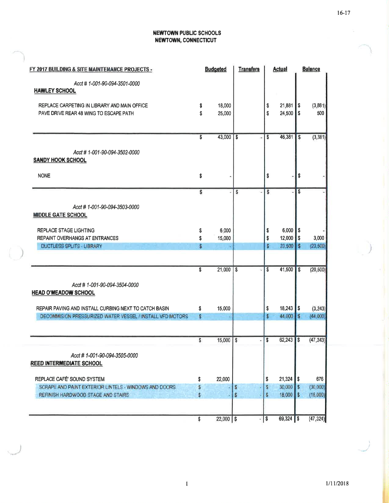# **NEWTOWN PUBLIC SCHOOLS<br>NEWTOWN, CONNECTICUT**

| FY 2017 BUILDING & SITE MAINTENANCE PROJECTS -            |                         | <b>Budgeted</b> | <b>Transfers</b>        | <b>Actual</b> |               |                    | <b>Balance</b> |
|-----------------------------------------------------------|-------------------------|-----------------|-------------------------|---------------|---------------|--------------------|----------------|
| Acct # 1-001-90-094-3501-0000                             |                         |                 |                         |               |               |                    |                |
| <b>HAWLEY SCHOOL</b>                                      |                         |                 |                         |               |               |                    |                |
| REPLACE CARPETING IN LIBRARY AND MAIN OFFICE              | \$                      | 18,000          |                         | \$            | 21,881        | \$                 | (3, 881)       |
| PAVE DRIVE REAR 48 WING TO ESCAPE PATH                    | \$                      | 25,000          |                         | \$            | 24,500 \$     |                    | 500            |
|                                                           |                         |                 |                         |               |               |                    |                |
|                                                           | \$                      | 43,000          | \$                      | \$            | $46,381$ \$   |                    | (3, 381)       |
| Acct # 1-001-90-094-3502-0000                             |                         |                 |                         |               |               |                    |                |
| <b>SANDY HOOK SCHOOL</b>                                  |                         |                 |                         |               |               |                    |                |
| <b>NONE</b>                                               | \$                      |                 |                         | \$            |               | \$                 |                |
|                                                           | s                       | L)              | \$                      | S             |               | \$                 |                |
| Acct #1-001-90-094-3503-0000                              |                         |                 |                         |               |               |                    |                |
| <b>MIDDLE GATE SCHOOL</b>                                 |                         |                 |                         |               |               |                    |                |
| REPLACE STAGE LIGHTING                                    | \$                      | 6,000           |                         | \$            | $6,000$ \$    |                    |                |
| <b>REPAINT OVERHANGS AT ENTRANCES</b>                     | \$                      | 15,000          |                         | \$            | 12,000        | $\pmb{\mathsf{s}}$ | 3,000          |
| <b>DUCTLESS SPLITS - LIBRARY</b>                          | $\overline{\mathbf{S}}$ |                 |                         | Ŝ             | 23,500        | $\blacksquare$     | (23, 500)      |
|                                                           |                         |                 |                         |               |               |                    |                |
|                                                           | \$                      | 21,000          | $\overline{\mathbf{s}}$ | \$            | $41,500$   \$ |                    | (20, 500)      |
| Acct # 1-001-90-094-3504-0000                             |                         |                 |                         |               |               |                    |                |
| <b>HEAD O'MEADOW SCHOOL</b>                               |                         |                 |                         |               |               |                    |                |
|                                                           |                         |                 |                         |               |               |                    |                |
| REPAIR PAVING AND INSTALL CURBING NEXT TO CATCH BASIN     | \$                      | 15,000          |                         | \$            | $18,243$ \$   |                    | (3, 243)       |
| DECOMMISION PRESSURIZED WATER VESSEL / INSTALL VFD MOTORS | \$                      |                 |                         | s             | 44,000        | l s                | (44.000)       |
|                                                           |                         |                 |                         |               |               |                    |                |
|                                                           | S.                      | 15,000          | $\$$                    | S             | 62,243        | l s                | (47, 243)      |
| Acct # 1-001-90-094-3505-0000                             |                         |                 |                         |               |               |                    |                |
| <b>REED INTERMEDIATE SCHOOL</b>                           |                         |                 |                         |               |               |                    |                |
| REPLACE CAFÉ' SOUND SYSTEM                                | \$                      | 22,000          |                         | \$            | 21,324        | l S                | 676            |
| SCRAPE AND PAINT EXTERIOR LINTELS - WINDOWS AND DOORS     |                         |                 | s                       | s             | 30,000        | B                  | (30,000)       |
| REFINISH HARDWOOD STAGE AND STAIRS                        |                         |                 | $\mathbb{S}$            | S             | 18,000        | l \$               | (18,000)       |
|                                                           | \$                      | $22,000$ \$     | ×                       | $\sqrt{3}$    | 69,324 \$     |                    | (47, 324)      |
|                                                           |                         |                 |                         |               |               |                    |                |

 $16-17$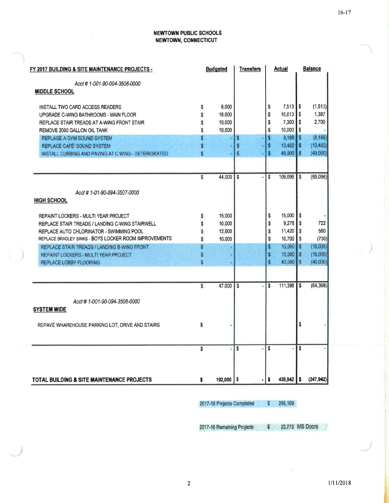#### **NEWTOWN PUBLIC SCHOOLS** NEWTOWN, CONNECTICUT

| FY 2017 BUILDING & SITE MAINTENANCE PROJECTS -        |    | <b>Budgeted</b> | <b>Transfers</b> |              | <u>Actual</u>          |     | <b>Balance</b> |
|-------------------------------------------------------|----|-----------------|------------------|--------------|------------------------|-----|----------------|
| Acct # 1-001-90-094-3506-0000                         |    |                 |                  |              |                        |     |                |
| <b>MIDDLE SCHOOL</b>                                  |    |                 |                  |              |                        |     |                |
| INSTALL TWO CARD ACCESS READERS                       | \$ | 6,000           |                  | S            | 7,513                  | l S | (1, 513)       |
| UPGRADE C-WING BATHROOMS - MAIN FLOOR                 | S  | 18,000          |                  | \$           | $16,613$ \$            |     | 1,387          |
| REPLACE STAIR TREADS AT A-WING FRONT STAIR            | Ŝ  | 10,000          |                  | \$           | 7,300                  | l S | 2,700          |
| REMOVE 2000 GALLON OIL TANK                           | Ŝ  | 10,000          |                  | \$           | 10,000                 | l S |                |
| REPLAGE A GYM SOUND SYSTEM                            | đ  |                 | s                | \$           | 8,188 \$               |     | (8.188)        |
| REPLACE CAFE' SOUND SYSTEM                            | s  |                 | S                | s            | $10.482$ \$            |     | (10.482)       |
| INSTALL CURBING AND PAVING AT C WING - DETERIORATED   | Ś  |                 | S                | s            | 49,000                 | l s | (49,000)       |
|                                                       | \$ | 44,000          | S<br>ä,          | \$           | 109,096                | \$  | (65,096)       |
|                                                       |    |                 |                  |              |                        |     |                |
| Acct # 1-01-90-094-3507-0000<br><b>HIGH SCHOOL</b>    |    |                 |                  |              |                        |     |                |
| REPAINT LOCKERS - MULTI YEAR PROJECT                  | \$ | 15,000          |                  | \$           | 15,000                 | \$  |                |
| REPLACE STAIR TREADS / LANDING C-WING STAIRWELL       | Ŝ  | 10,000          |                  | \$           | 9,278                  | s   | 722            |
| REPLACE AUTO CHLORINATOR - SWIMMING POOL              | Ŝ  | 12,000          |                  | \$           | $11,420$ \$            |     | 580            |
| REPLACE BRADLEY SINKS - BOYS LOCKER ROOM IMPROVEMENTS | \$ | 10,000          |                  | \$           | $10,700$ \$            |     | (700)          |
| REPLACE STAIR TREADS / LANDING B-WING FRONT           | \$ |                 |                  | \$           | $10,000$ $\frac{1}{5}$ |     | (10,000)       |
| REPAINT LOCKERS - MULTI YEAR PROJECT                  | 5  |                 |                  | s            | 15,000 \$              |     | (15,000)       |
| <b>REPLACE LOBBY FLOORING</b>                         | Ś. |                 |                  | \$           | 40,000 \$              |     | (40,000)       |
|                                                       | \$ | 47,000          | $\mathbf{s}$     | \$           | 111,398                | \$  | (64, 398)      |
|                                                       |    |                 |                  |              |                        |     |                |
| Acct #1-001-90-094-3508-0000<br><b>SYSTEM WIDE</b>    |    |                 |                  |              |                        |     |                |
| REPAVE WHAREHOUSE PARKING LOT, DRIVE AND STAIRS       | \$ |                 |                  |              |                        | \$  |                |
|                                                       |    |                 |                  |              |                        |     |                |
|                                                       | S  |                 | \$               | $\mathbf{s}$ |                        | \$  |                |
|                                                       |    |                 |                  |              |                        |     |                |
| <b>TOTAL BUILDING &amp; SITE MAINTENANCE PROJECTS</b> | \$ | $192,000$   \$  |                  | s            | $439.942$ \$           |     | (247, 942)     |

2017-18 Projects Completed  $$248,169$ 

2017-18 Remaining Projects 23,773 MS Doors  $\sqrt{2}$